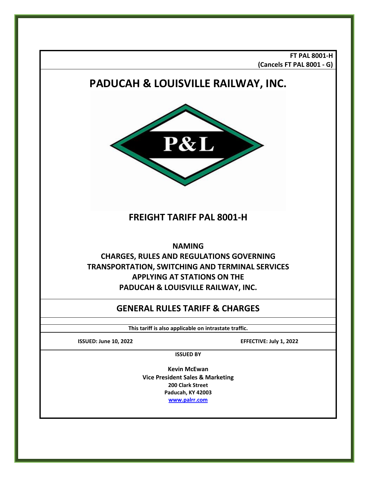**FT PAL 8001-H (Cancels FT PAL 8001 - G)**

# **PADUCAH & LOUISVILLE RAILWAY, INC.**



# **FREIGHT TARIFF PAL 8001-H**

**NAMING**

# **CHARGES, RULES AND REGULATIONS GOVERNING TRANSPORTATION, SWITCHING AND TERMINAL SERVICES APPLYING AT STATIONS ON THE PADUCAH & LOUISVILLE RAILWAY, INC.**

# **GENERAL RULES TARIFF & CHARGES**

**This tariff is also applicable on intrastate traffic.**

**ISSUED: June 10, 2022 EFFECTIVE: July 1, 2022**

**ISSUED BY**

**Kevin McEwan Vice President Sales & Marketing 200 Clark Street Paducah, KY 42003 [www.palrr.com](http://www.palrr.com/)**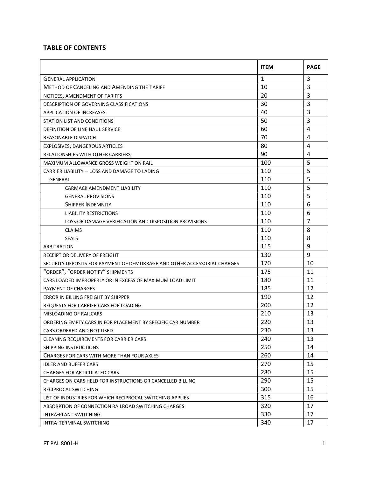# **TABLE OF CONTENTS**

|                                                                          | <b>ITEM</b>  | <b>PAGE</b>    |
|--------------------------------------------------------------------------|--------------|----------------|
| <b>GENERAL APPLICATION</b>                                               | $\mathbf{1}$ | 3              |
| <b>METHOD OF CANCELING AND AMENDING THE TARIFF</b>                       | 10           | $\overline{3}$ |
| NOTICES, AMENDMENT OF TARIFFS                                            | 20           | 3              |
| DESCRIPTION OF GOVERNING CLASSIFICATIONS                                 | 30           | 3              |
| <b>APPLICATION OF INCREASES</b>                                          | 40           | $\overline{3}$ |
| STATION LIST AND CONDITIONS                                              | 50           | 3              |
| DEFINITION OF LINE HAUL SERVICE                                          | 60           | 4              |
| REASONABLE DISPATCH                                                      | 70           | 4              |
| EXPLOSIVES, DANGEROUS ARTICLES                                           | 80           | 4              |
| RELATIONSHIPS WITH OTHER CARRIERS                                        | 90           | 4              |
| MAXIMUM ALLOWANCE GROSS WEIGHT ON RAIL                                   | 100          | 5              |
| CARRIER LIABILITY - LOSS AND DAMAGE TO LADING                            | 110          | 5              |
| <b>GENERAL</b>                                                           | 110          | 5              |
| CARMACK AMENDMENT LIABILITY                                              | 110          | 5              |
| <b>GENERAL PROVISIONS</b>                                                | 110          | 5              |
| SHIPPER INDEMNITY                                                        | 110          | 6              |
| <b>LIABILITY RESTRICTIONS</b>                                            | 110          | 6              |
| LOSS OR DAMAGE VERIFICATION AND DISPOSITION PROVISIONS                   | 110          | $\overline{7}$ |
| <b>CLAIMS</b>                                                            | 110          | 8              |
| <b>SEALS</b>                                                             | 110          | 8              |
| ARBITRATION                                                              | 115          | 9              |
| RECEIPT OR DELIVERY OF FREIGHT                                           | 130          | 9              |
| SECURITY DEPOSITS FOR PAYMENT OF DEMURRAGE AND OTHER ACCESSORIAL CHARGES | 170          | 10             |
| "ORDER", "ORDER NOTIFY" SHIPMENTS                                        | 175          | 11             |
| CARS LOADED IMPROPERLY OR IN EXCESS OF MAXIMUM LOAD LIMIT                | 180          | 11             |
| PAYMENT OF CHARGES                                                       | 185          | 12             |
| ERROR IN BILLING FREIGHT BY SHIPPER                                      | 190          | 12             |
| <b>REQUESTS FOR CARRIER CARS FOR LOADING</b>                             | 200          | 12             |
| MISLOADING OF RAILCARS                                                   | 210          | 13             |
| ORDERING EMPTY CARS IN FOR PLACEMENT BY SPECIFIC CAR NUMBER              | 220          | 13             |
| CARS ORDERED AND NOT USED                                                | 230          | 13             |
| <b>CLEANING REQUIREMENTS FOR CARRIER CARS</b>                            | 240          | 13             |
| SHIPPING INSTRUCTIONS                                                    | 250          | 14             |
| CHARGES FOR CARS WITH MORE THAN FOUR AXLES                               | 260          | 14             |
| <b>IDLER AND BUFFER CARS</b>                                             | 270          | 15             |
| <b>CHARGES FOR ARTICULATED CARS</b>                                      | 280          | 15             |
| CHARGES ON CARS HELD FOR INSTRUCTIONS OR CANCELLED BILLING               | 290          | 15             |
| RECIPROCAL SWITCHING                                                     | 300          | 15             |
| LIST OF INDUSTRIES FOR WHICH RECIPROCAL SWITCHING APPLIES                | 315          | 16             |
| ABSORPTION OF CONNECTION RAILROAD SWITCHING CHARGES                      | 320          | 17             |
| INTRA-PLANT SWITCHING                                                    | 330          | 17             |
| INTRA-TERMINAL SWITCHING                                                 | 340          | 17             |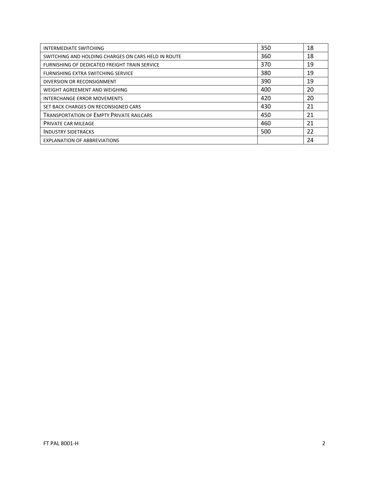| INTERMEDIATE SWITCHING                              | 350 | 18 |
|-----------------------------------------------------|-----|----|
| SWITCHING AND HOLDING CHARGES ON CARS HELD IN ROUTE | 360 | 18 |
| FURNISHING OF DEDICATED FREIGHT TRAIN SERVICE       | 370 | 19 |
| FURNISHING EXTRA SWITCHING SERVICE                  | 380 | 19 |
| DIVERSION OR RECONSIGNMENT                          | 390 | 19 |
| WEIGHT AGREEMENT AND WEIGHING                       | 400 | 20 |
| <b>INTERCHANGE ERROR MOVEMENTS</b>                  | 420 | 20 |
| SET BACK CHARGES ON RECONSIGNED CARS                | 430 | 21 |
| <b>TRANSPORTATION OF EMPTY PRIVATE RAILCARS</b>     | 450 | 21 |
| <b>PRIVATE CAR MILEAGE</b>                          | 460 | 21 |
| <b>INDUSTRY SIDETRACKS</b>                          | 500 | 22 |
| <b>EXPLANATION OF ABBREVIATIONS</b>                 |     | 24 |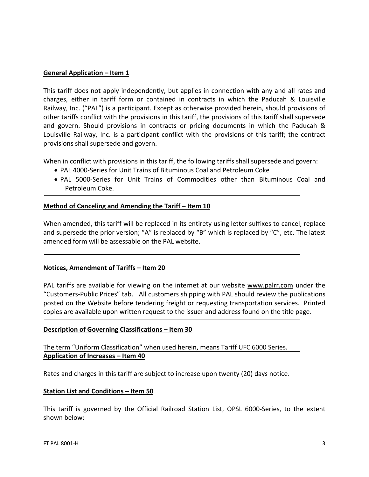#### **General Application – Item 1**

This tariff does not apply independently, but applies in connection with any and all rates and charges, either in tariff form or contained in contracts in which the Paducah & Louisville Railway, Inc. ("PAL") is a participant. Except as otherwise provided herein, should provisions of other tariffs conflict with the provisions in this tariff, the provisions of this tariff shall supersede and govern. Should provisions in contracts or pricing documents in which the Paducah & Louisville Railway, Inc. is a participant conflict with the provisions of this tariff; the contract provisions shall supersede and govern.

When in conflict with provisions in this tariff, the following tariffs shall supersede and govern:

- PAL 4000-Series for Unit Trains of Bituminous Coal and Petroleum Coke
- PAL 5000-Series for Unit Trains of Commodities other than Bituminous Coal and Petroleum Coke.

# **Method of Canceling and Amending the Tariff – Item 10**

When amended, this tariff will be replaced in its entirety using letter suffixes to cancel, replace and supersede the prior version; "A" is replaced by "B" which is replaced by "C", etc. The latest amended form will be assessable on the PAL website.

# **Notices, Amendment of Tariffs – Item 20**

PAL tariffs are available for viewing on the internet at our website [www.palrr.com](http://www.palrr.com/) under the "Customers-Public Prices" tab. All customers shipping with PAL should review the publications posted on the Website before tendering freight or requesting transportation services. Printed copies are available upon written request to the issuer and address found on the title page.

#### **Description of Governing Classifications – Item 30**

The term "Uniform Classification" when used herein, means Tariff UFC 6000 Series. **Application of Increases – Item 40**

Rates and charges in this tariff are subject to increase upon twenty (20) days notice.

#### **Station List and Conditions – Item 50**

This tariff is governed by the Official Railroad Station List, OPSL 6000-Series, to the extent shown below: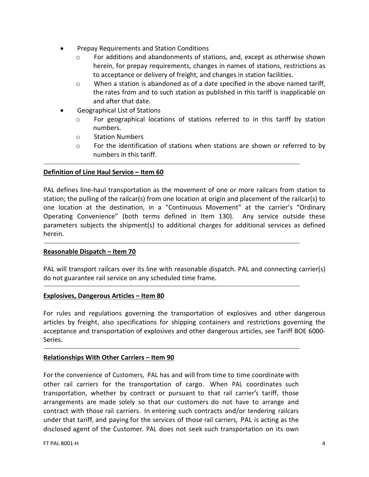- Prepay Requirements and Station Conditions
	- $\circ$  For additions and abandonments of stations, and, except as otherwise shown herein, for prepay requirements, changes in names of stations, restrictions as to acceptance or delivery of freight, and changes in station facilities.
	- $\circ$  When a station is abandoned as of a date specified in the above named tariff, the rates from and to such station as published in this tariff is inapplicable on and after that date.
- Geographical List of Stations
	- o For geographical locations of stations referred to in this tariff by station numbers.
	- o Station Numbers
	- o For the identification of stations when stations are shown or referred to by numbers in this tariff.

# **Definition of Line Haul Service – Item 60**

PAL defines line-haul transportation as the movement of one or more railcars from station to station; the pulling of the railcar(s) from one location at origin and placement of the railcar(s) to one location at the destination, in a "Continuous Movement" at the carrier's "Ordinary Operating Convenience" (both terms defined in Item 130). Any service outside these parameters subjects the shipment(s) to additional charges for additional services as defined herein.

#### **Reasonable Dispatch – Item 70**

PAL will transport railcars over its line with reasonable dispatch. PAL and connecting carrier(s) do not guarantee rail service on any scheduled time frame.

#### **Explosives, Dangerous Articles – Item 80**

For rules and regulations governing the transportation of explosives and other dangerous articles by freight, also specifications for shipping containers and restrictions governing the acceptance and transportation of explosives and other dangerous articles, see Tariff BOE 6000- Series.

#### **Relationships With Other Carriers – Item 90**

For the convenience of Customers, PAL has and will from time to time coordinate with other rail carriers for the transportation of cargo. When PAL coordinates such transportation, whether by contract or pursuant to that rail carrier's tariff, those arrangements are made solely so that our customers do not have to arrange and contract with those rail carriers. In entering such contracts and/or tendering railcars under that tariff, and paying for the services of those rail carriers, PAL is acting as the disclosed agent of the Customer. PAL does not seek such transportation on its own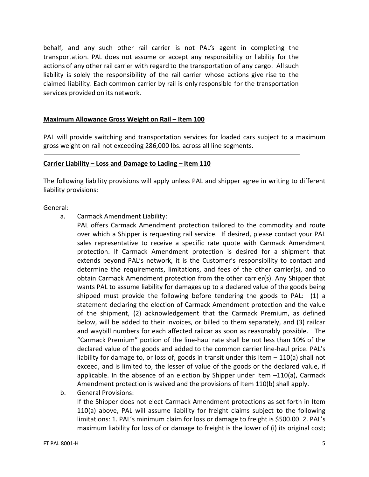behalf, and any such other rail carrier is not PAL's agent in completing the transportation. PAL does not assume or accept any responsibility or liability for the actions of any other rail carrier with regard to the transportation of any cargo. All such liability is solely the responsibility of the rail carrier whose actions give rise to the claimed liability. Each common carrier by rail is only responsible for the transportation services provided on its network.

#### **Maximum Allowance Gross Weight on Rail – Item 100**

PAL will provide switching and transportation services for loaded cars subject to a maximum gross weight on rail not exceeding 286,000 lbs. across all line segments.

#### **Carrier Liability – Loss and Damage to Lading – Item 110**

The following liability provisions will apply unless PAL and shipper agree in writing to different liability provisions:

#### General:

- a. Carmack Amendment Liability:
	- PAL offers Carmack Amendment protection tailored to the commodity and route over which a Shipper is requesting rail service. If desired, please contact your PAL sales representative to receive a specific rate quote with Carmack Amendment protection. If Carmack Amendment protection is desired for a shipment that extends beyond PAL's network, it is the Customer's responsibility to contact and determine the requirements, limitations, and fees of the other carrier(s), and to obtain Carmack Amendment protection from the other carrier(s). Any Shipper that wants PAL to assume liability for damages up to a declared value of the goods being shipped must provide the following before tendering the goods to PAL: (1) a statement declaring the election of Carmack Amendment protection and the value of the shipment, (2) acknowledgement that the Carmack Premium, as defined below, will be added to their invoices, or billed to them separately, and (3) railcar and waybill numbers for each affected railcar as soon as reasonably possible. The "Carmack Premium" portion of the line-haul rate shall be not less than 10% of the declared value of the goods and added to the common carrier line-haul price. PAL's liability for damage to, or loss of, goods in transit under this Item – 110(a) shall not exceed, and is limited to, the lesser of value of the goods or the declared value, if applicable. In the absence of an election by Shipper under Item –110(a), Carmack Amendment protection is waived and the provisions of Item 110(b) shall apply.
- b. General Provisions:

If the Shipper does not elect Carmack Amendment protections as set forth in Item 110(a) above, PAL will assume liability for freight claims subject to the following limitations: 1. PAL's minimum claim for loss or damage to freight is \$500.00. 2. PAL's maximum liability for loss of or damage to freight is the lower of (i) its original cost;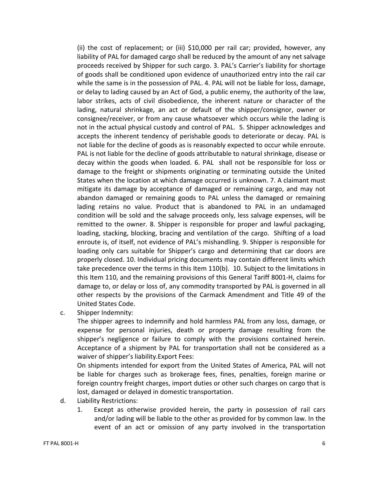(ii) the cost of replacement; or (iii) \$10,000 per rail car; provided, however, any liability of PAL for damaged cargo shall be reduced by the amount of any net salvage proceeds received by Shipper for such cargo. 3. PAL's Carrier's liability for shortage of goods shall be conditioned upon evidence of unauthorized entry into the rail car while the same is in the possession of PAL. 4. PAL will not be liable for loss, damage, or delay to lading caused by an Act of God, a public enemy, the authority of the law, labor strikes, acts of civil disobedience, the inherent nature or character of the lading, natural shrinkage, an act or default of the shipper/consignor, owner or consignee/receiver, or from any cause whatsoever which occurs while the lading is not in the actual physical custody and control of PAL. 5. Shipper acknowledges and accepts the inherent tendency of perishable goods to deteriorate or decay. PAL is not liable for the decline of goods as is reasonably expected to occur while enroute. PAL is not liable for the decline of goods attributable to natural shrinkage, disease or decay within the goods when loaded. 6. PAL shall not be responsible for loss or damage to the freight or shipments originating or terminating outside the United States when the location at which damage occurred is unknown. 7. A claimant must mitigate its damage by acceptance of damaged or remaining cargo, and may not abandon damaged or remaining goods to PAL unless the damaged or remaining lading retains no value. Product that is abandoned to PAL in an undamaged condition will be sold and the salvage proceeds only, less salvage expenses, will be remitted to the owner. 8. Shipper is responsible for proper and lawful packaging, loading, stacking, blocking, bracing and ventilation of the cargo. Shifting of a load enroute is, of itself, not evidence of PAL's mishandling. 9. Shipper is responsible for loading only cars suitable for Shipper's cargo and determining that car doors are properly closed. 10. Individual pricing documents may contain different limits which take precedence over the terms in this Item 110(b). 10. Subject to the limitations in this Item 110, and the remaining provisions of this General Tariff 8001-H, claims for damage to, or delay or loss of, any commodity transported by PAL is governed in all other respects by the provisions of the Carmack Amendment and Title 49 of the United States Code.

c. Shipper Indemnity:

The shipper agrees to indemnify and hold harmless PAL from any loss, damage, or expense for personal injuries, death or property damage resulting from the shipper's negligence or failure to comply with the provisions contained herein. Acceptance of a shipment by PAL for transportation shall not be considered as a waiver of shipper's liability.Export Fees:

On shipments intended for export from the United States of America, PAL will not be liable for charges such as brokerage fees, fines, penalties, foreign marine or foreign country freight charges, import duties or other such charges on cargo that is lost, damaged or delayed in domestic transportation.

- d. Liability Restrictions:
	- 1. Except as otherwise provided herein, the party in possession of rail cars and/or lading will be liable to the other as provided for by common law. In the event of an act or omission of any party involved in the transportation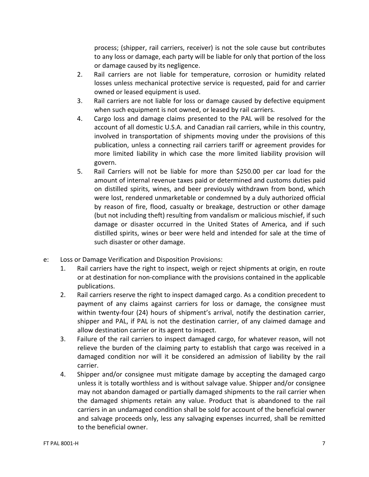process; (shipper, rail carriers, receiver) is not the sole cause but contributes to any loss or damage, each party will be liable for only that portion of the loss or damage caused by its negligence.

- 2. Rail carriers are not liable for temperature, corrosion or humidity related losses unless mechanical protective service is requested, paid for and carrier owned or leased equipment is used.
- 3. Rail carriers are not liable for loss or damage caused by defective equipment when such equipment is not owned, or leased by rail carriers.
- 4. Cargo loss and damage claims presented to the PAL will be resolved for the account of all domestic U.S.A. and Canadian rail carriers, while in this country, involved in transportation of shipments moving under the provisions of this publication, unless a connecting rail carriers tariff or agreement provides for more limited liability in which case the more limited liability provision will govern.
- 5. Rail Carriers will not be liable for more than \$250.00 per car load for the amount of internal revenue taxes paid or determined and customs duties paid on distilled spirits, wines, and beer previously withdrawn from bond, which were lost, rendered unmarketable or condemned by a duly authorized official by reason of fire, flood, casualty or breakage, destruction or other damage (but not including theft) resulting from vandalism or malicious mischief, if such damage or disaster occurred in the United States of America, and if such distilled spirits, wines or beer were held and intended for sale at the time of such disaster or other damage.
- e: Loss or Damage Verification and Disposition Provisions:
	- 1. Rail carriers have the right to inspect, weigh or reject shipments at origin, en route or at destination for non-compliance with the provisions contained in the applicable publications.
	- 2. Rail carriers reserve the right to inspect damaged cargo. As a condition precedent to payment of any claims against carriers for loss or damage, the consignee must within twenty-four (24) hours of shipment's arrival, notify the destination carrier, shipper and PAL, if PAL is not the destination carrier, of any claimed damage and allow destination carrier or its agent to inspect.
	- 3. Failure of the rail carriers to inspect damaged cargo, for whatever reason, will not relieve the burden of the claiming party to establish that cargo was received in a damaged condition nor will it be considered an admission of liability by the rail carrier.
	- 4. Shipper and/or consignee must mitigate damage by accepting the damaged cargo unless it is totally worthless and is without salvage value. Shipper and/or consignee may not abandon damaged or partially damaged shipments to the rail carrier when the damaged shipments retain any value. Product that is abandoned to the rail carriers in an undamaged condition shall be sold for account of the beneficial owner and salvage proceeds only, less any salvaging expenses incurred, shall be remitted to the beneficial owner.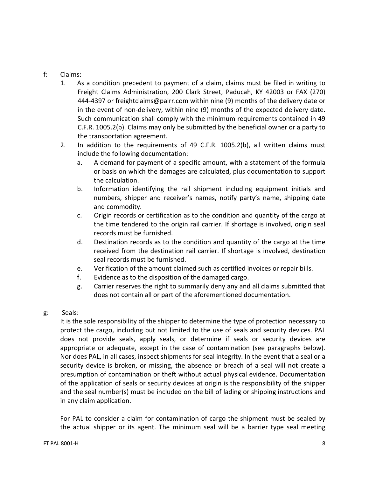# f: Claims:

- 1. As a condition precedent to payment of a claim, claims must be filed in writing to Freight Claims Administration, 200 Clark Street, Paducah, KY 42003 or FAX (270) 444-4397 or freightclaims@palrr.com within nine (9) months of the delivery date or in the event of non-delivery, within nine (9) months of the expected delivery date. Such communication shall comply with the minimum requirements contained in 49 C.F.R. 1005.2(b). Claims may only be submitted by the beneficial owner or a party to the transportation agreement.
- 2. In addition to the requirements of 49 C.F.R. 1005.2(b), all written claims must include the following documentation:
	- a. A demand for payment of a specific amount, with a statement of the formula or basis on which the damages are calculated, plus documentation to support the calculation.
	- b. Information identifying the rail shipment including equipment initials and numbers, shipper and receiver's names, notify party's name, shipping date and commodity.
	- c. Origin records or certification as to the condition and quantity of the cargo at the time tendered to the origin rail carrier. If shortage is involved, origin seal records must be furnished.
	- d. Destination records as to the condition and quantity of the cargo at the time received from the destination rail carrier. If shortage is involved, destination seal records must be furnished.
	- e. Verification of the amount claimed such as certified invoices or repair bills.
	- f. Evidence as to the disposition of the damaged cargo.
	- g. Carrier reserves the right to summarily deny any and all claims submitted that does not contain all or part of the aforementioned documentation.
- g: Seals:

It is the sole responsibility of the shipper to determine the type of protection necessary to protect the cargo, including but not limited to the use of seals and security devices. PAL does not provide seals, apply seals, or determine if seals or security devices are appropriate or adequate, except in the case of contamination (see paragraphs below). Nor does PAL, in all cases, inspect shipments for seal integrity. In the event that a seal or a security device is broken, or missing, the absence or breach of a seal will not create a presumption of contamination or theft without actual physical evidence. Documentation of the application of seals or security devices at origin is the responsibility of the shipper and the seal number(s) must be included on the bill of lading or shipping instructions and in any claim application.

For PAL to consider a claim for contamination of cargo the shipment must be sealed by the actual shipper or its agent. The minimum seal will be a barrier type seal meeting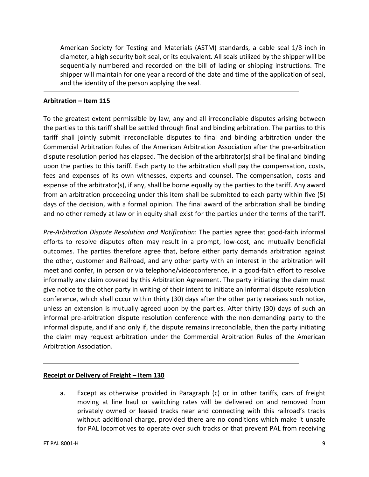American Society for Testing and Materials (ASTM) standards, a cable seal 1/8 inch in diameter, a high security bolt seal, or its equivalent. All seals utilized by the shipper will be sequentially numbered and recorded on the bill of lading or shipping instructions. The shipper will maintain for one year a record of the date and time of the application of seal, and the identity of the person applying the seal.

# **Arbitration – Item 115**

<sup>-</sup>

To the greatest extent permissible by law, any and all irreconcilable disputes arising between the parties to this tariff shall be settled through final and binding arbitration. The parties to this tariff shall jointly submit irreconcilable disputes to final and binding arbitration under the Commercial Arbitration Rules of the American Arbitration Association after the pre-arbitration dispute resolution period has elapsed. The decision of the arbitrator(s) shall be final and binding upon the parties to this tariff. Each party to the arbitration shall pay the compensation, costs, fees and expenses of its own witnesses, experts and counsel. The compensation, costs and expense of the arbitrator(s), if any, shall be borne equally by the parties to the tariff. Any award from an arbitration proceeding under this Item shall be submitted to each party within five (5) days of the decision, with a formal opinion. The final award of the arbitration shall be binding and no other remedy at law or in equity shall exist for the parties under the terms of the tariff.

*Pre-Arbitration Dispute Resolution and Notification*: The parties agree that good-faith informal efforts to resolve disputes often may result in a prompt, low-cost, and mutually beneficial outcomes. The parties therefore agree that, before either party demands arbitration against the other, customer and Railroad, and any other party with an interest in the arbitration will meet and confer, in person or via telephone/videoconference, in a good-faith effort to resolve informally any claim covered by this Arbitration Agreement. The party initiating the claim must give notice to the other party in writing of their intent to initiate an informal dispute resolution conference, which shall occur within thirty (30) days after the other party receives such notice, unless an extension is mutually agreed upon by the parties. After thirty (30) days of such an informal pre-arbitration dispute resolution conference with the non-demanding party to the informal dispute, and if and only if, the dispute remains irreconcilable, then the party initiating the claim may request arbitration under the Commercial Arbitration Rules of the American Arbitration Association.

# **Receipt or Delivery of Freight – Item 130**

a. Except as otherwise provided in Paragraph (c) or in other tariffs, cars of freight moving at line haul or switching rates will be delivered on and removed from privately owned or leased tracks near and connecting with this railroad's tracks without additional charge, provided there are no conditions which make it unsafe for PAL locomotives to operate over such tracks or that prevent PAL from receiving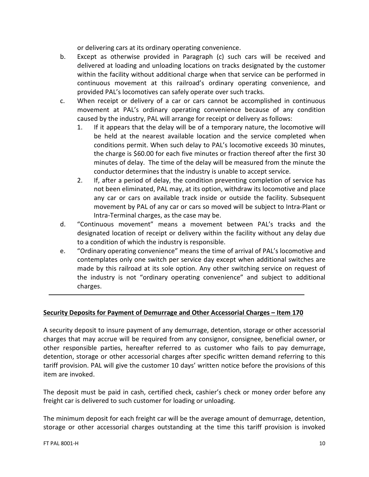or delivering cars at its ordinary operating convenience.

- b. Except as otherwise provided in Paragraph (c) such cars will be received and delivered at loading and unloading locations on tracks designated by the customer within the facility without additional charge when that service can be performed in continuous movement at this railroad's ordinary operating convenience, and provided PAL's locomotives can safely operate over such tracks.
- c. When receipt or delivery of a car or cars cannot be accomplished in continuous movement at PAL's ordinary operating convenience because of any condition caused by the industry, PAL will arrange for receipt or delivery as follows:
	- 1. If it appears that the delay will be of a temporary nature, the locomotive will be held at the nearest available location and the service completed when conditions permit. When such delay to PAL's locomotive exceeds 30 minutes, the charge is \$60.00 for each five minutes or fraction thereof after the first 30 minutes of delay. The time of the delay will be measured from the minute the conductor determines that the industry is unable to accept service.
	- 2. If, after a period of delay, the condition preventing completion of service has not been eliminated, PAL may, at its option, withdraw its locomotive and place any car or cars on available track inside or outside the facility. Subsequent movement by PAL of any car or cars so moved will be subject to Intra-Plant or Intra-Terminal charges, as the case may be.
- d. "Continuous movement" means a movement between PAL's tracks and the designated location of receipt or delivery within the facility without any delay due to a condition of which the industry is responsible.
- e. "Ordinary operating convenience" means the time of arrival of PAL's locomotive and contemplates only one switch per service day except when additional switches are made by this railroad at its sole option. Any other switching service on request of the industry is not "ordinary operating convenience" and subject to additional charges.

# **Security Deposits for Payment of Demurrage and Other Accessorial Charges – Item 170**

A security deposit to insure payment of any demurrage, detention, storage or other accessorial charges that may accrue will be required from any consignor, consignee, beneficial owner, or other responsible parties, hereafter referred to as customer who fails to pay demurrage, detention, storage or other accessorial charges after specific written demand referring to this tariff provision. PAL will give the customer 10 days' written notice before the provisions of this item are invoked.

The deposit must be paid in cash, certified check, cashier's check or money order before any freight car is delivered to such customer for loading or unloading.

The minimum deposit for each freight car will be the average amount of demurrage, detention, storage or other accessorial charges outstanding at the time this tariff provision is invoked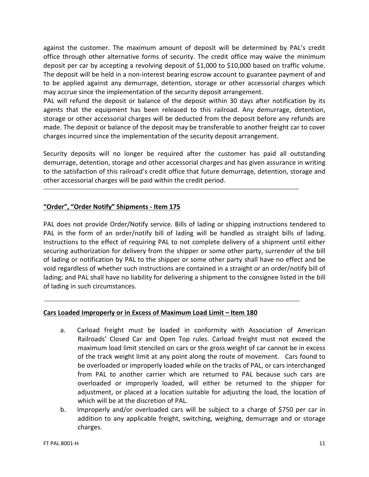against the customer. The maximum amount of deposit will be determined by PAL's credit office through other alternative forms of security. The credit office may waive the minimum deposit per car by accepting a revolving deposit of \$1,000 to \$10,000 based on traffic volume. The deposit will be held in a non-interest bearing escrow account to guarantee payment of and to be applied against any demurrage, detention, storage or other accessorial charges which may accrue since the implementation of the security deposit arrangement.

PAL will refund the deposit or balance of the deposit within 30 days after notification by its agents that the equipment has been released to this railroad. Any demurrage, detention, storage or other accessorial charges will be deducted from the deposit before any refunds are made. The deposit or balance of the deposit may be transferable to another freight car to cover charges incurred since the implementation of the security deposit arrangement.

Security deposits will no longer be required after the customer has paid all outstanding demurrage, detention, storage and other accessorial charges and has given assurance in writing to the satisfaction of this railroad's credit office that future demurrage, detention, storage and other accessorial charges will be paid within the credit period.

# **"Order", "Order Notify" Shipments - Item 175**

PAL does not provide Order/Notify service. Bills of lading or shipping instructions tendered to PAL in the form of an order/notify bill of lading will be handled as straight bills of lading. Instructions to the effect of requiring PAL to not complete delivery of a shipment until either securing authorization for delivery from the shipper or some other party, surrender of the bill of lading or notification by PAL to the shipper or some other party shall have no effect and be void regardless of whether such instructions are contained in a straight or an order/notify bill of lading; and PAL shall have no liability for delivering a shipment to the consignee listed in the bill of lading in such circumstances.

# **Cars Loaded Improperly or in Excess of Maximum Load Limit – Item 180**

- a. Carload freight must be loaded in conformity with Association of American Railroads' Closed Car and Open Top rules. Carload freight must not exceed the maximum load limit stenciled on cars or the gross weight of car cannot be in excess of the track weight limit at any point along the route of movement. Cars found to be overloaded or improperly loaded while on the tracks of PAL, or cars interchanged from PAL to another carrier which are returned to PAL because such cars are overloaded or improperly loaded, will either be returned to the shipper for adjustment, or placed at a location suitable for adjusting the load, the location of which will be at the discretion of PAL.
- b. Improperly and/or overloaded cars will be subject to a charge of \$750 per car in addition to any applicable freight, switching, weighing, demurrage and or storage charges.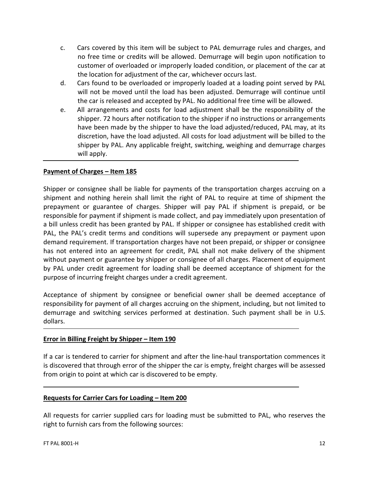- c. Cars covered by this item will be subject to PAL demurrage rules and charges, and no free time or credits will be allowed. Demurrage will begin upon notification to customer of overloaded or improperly loaded condition, or placement of the car at the location for adjustment of the car, whichever occurs last.
- d. Cars found to be overloaded or improperly loaded at a loading point served by PAL will not be moved until the load has been adjusted. Demurrage will continue until the car is released and accepted by PAL. No additional free time will be allowed.
- e. All arrangements and costs for load adjustment shall be the responsibility of the shipper. 72 hours after notification to the shipper if no instructions or arrangements have been made by the shipper to have the load adjusted/reduced, PAL may, at its discretion, have the load adjusted. All costs for load adjustment will be billed to the shipper by PAL. Any applicable freight, switching, weighing and demurrage charges will apply.

# **Payment of Charges – Item 185**

Shipper or consignee shall be liable for payments of the transportation charges accruing on a shipment and nothing herein shall limit the right of PAL to require at time of shipment the prepayment or guarantee of charges. Shipper will pay PAL if shipment is prepaid, or be responsible for payment if shipment is made collect, and pay immediately upon presentation of a bill unless credit has been granted by PAL. If shipper or consignee has established credit with PAL, the PAL's credit terms and conditions will supersede any prepayment or payment upon demand requirement. If transportation charges have not been prepaid, or shipper or consignee has not entered into an agreement for credit, PAL shall not make delivery of the shipment without payment or guarantee by shipper or consignee of all charges. Placement of equipment by PAL under credit agreement for loading shall be deemed acceptance of shipment for the purpose of incurring freight charges under a credit agreement.

Acceptance of shipment by consignee or beneficial owner shall be deemed acceptance of responsibility for payment of all charges accruing on the shipment, including, but not limited to demurrage and switching services performed at destination. Such payment shall be in U.S. dollars.

# **Error in Billing Freight by Shipper – Item 190**

If a car is tendered to carrier for shipment and after the line-haul transportation commences it is discovered that through error of the shipper the car is empty, freight charges will be assessed from origin to point at which car is discovered to be empty.

# **Requests for Carrier Cars for Loading – Item 200**

All requests for carrier supplied cars for loading must be submitted to PAL, who reserves the right to furnish cars from the following sources: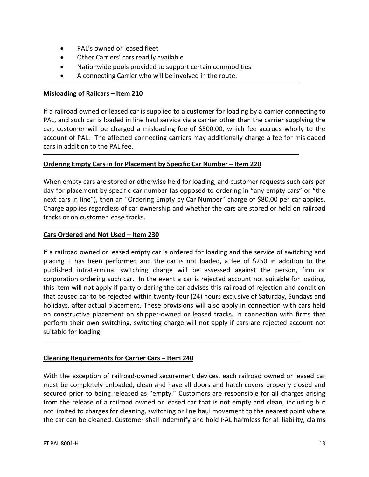- PAL's owned or leased fleet
- Other Carriers' cars readily available
- Nationwide pools provided to support certain commodities
- A connecting Carrier who will be involved in the route.

#### **Misloading of Railcars – Item 210**

If a railroad owned or leased car is supplied to a customer for loading by a carrier connecting to PAL, and such car is loaded in line haul service via a carrier other than the carrier supplying the car, customer will be charged a misloading fee of \$500.00, which fee accrues wholly to the account of PAL. The affected connecting carriers may additionally charge a fee for misloaded cars in addition to the PAL fee.

# **Ordering Empty Cars in for Placement by Specific Car Number – Item 220**

When empty cars are stored or otherwise held for loading, and customer requests such cars per day for placement by specific car number (as opposed to ordering in "any empty cars" or "the next cars in line"), then an "Ordering Empty by Car Number" charge of \$80.00 per car applies. Charge applies regardless of car ownership and whether the cars are stored or held on railroad tracks or on customer lease tracks.

# **Cars Ordered and Not Used – Item 230**

If a railroad owned or leased empty car is ordered for loading and the service of switching and placing it has been performed and the car is not loaded, a fee of \$250 in addition to the published intraterminal switching charge will be assessed against the person, firm or corporation ordering such car. In the event a car is rejected account not suitable for loading, this item will not apply if party ordering the car advises this railroad of rejection and condition that caused car to be rejected within twenty-four (24) hours exclusive of Saturday, Sundays and holidays, after actual placement. These provisions will also apply in connection with cars held on constructive placement on shipper-owned or leased tracks. In connection with firms that perform their own switching, switching charge will not apply if cars are rejected account not suitable for loading.

# **Cleaning Requirements for Carrier Cars – Item 240**

With the exception of railroad-owned securement devices, each railroad owned or leased car must be completely unloaded, clean and have all doors and hatch covers properly closed and secured prior to being released as "empty." Customers are responsible for all charges arising from the release of a railroad owned or leased car that is not empty and clean, including but not limited to charges for cleaning, switching or line haul movement to the nearest point where the car can be cleaned. Customer shall indemnify and hold PAL harmless for all liability, claims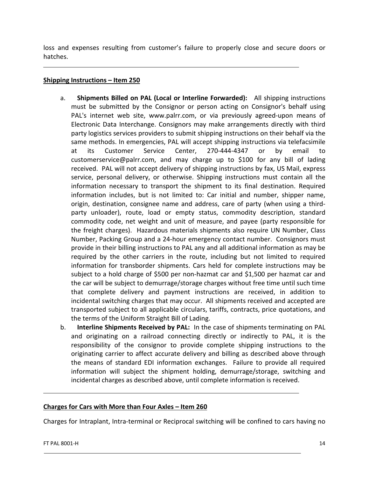loss and expenses resulting from customer's failure to properly close and secure doors or hatches.

# **Shipping Instructions – Item 250**

- a. **Shipments Billed on PAL (Local or Interline Forwarded):** All shipping instructions must be submitted by the Consignor or person acting on Consignor's behalf using PAL's internet web site, www.palrr.com, or via previously agreed-upon means of Electronic Data Interchange. Consignors may make arrangements directly with third party logistics services providers to submit shipping instructions on their behalf via the same methods. In emergencies, PAL will accept shipping instructions via telefacsimile at its Customer Service Center, 270-444-4347 or by email to customerservice@palrr.com, and may charge up to \$100 for any bill of lading received. PAL will not accept delivery of shipping instructions by fax, US Mail, express service, personal delivery, or otherwise. Shipping instructions must contain all the information necessary to transport the shipment to its final destination. Required information includes, but is not limited to: Car initial and number, shipper name, origin, destination, consignee name and address, care of party (when using a thirdparty unloader), route, load or empty status, commodity description, standard commodity code, net weight and unit of measure, and payee (party responsible for the freight charges). Hazardous materials shipments also require UN Number, Class Number, Packing Group and a 24-hour emergency contact number. Consignors must provide in their billing instructions to PAL any and all additional information as may be required by the other carriers in the route, including but not limited to required information for transborder shipments. Cars held for complete instructions may be subject to a hold charge of \$500 per non-hazmat car and \$1,500 per hazmat car and the car will be subject to demurrage/storage charges without free time until such time that complete delivery and payment instructions are received, in addition to incidental switching charges that may occur. All shipments received and accepted are transported subject to all applicable circulars, tariffs, contracts, price quotations, and the terms of the Uniform Straight Bill of Lading.
- b. **Interline Shipments Received by PAL:** In the case of shipments terminating on PAL and originating on a railroad connecting directly or indirectly to PAL, it is the responsibility of the consignor to provide complete shipping instructions to the originating carrier to affect accurate delivery and billing as described above through the means of standard EDI information exchanges. Failure to provide all required information will subject the shipment holding, demurrage/storage, switching and incidental charges as described above, until complete information is received.

# **Charges for Cars with More than Four Axles – Item 260**

Charges for Intraplant, Intra-terminal or Reciprocal switching will be confined to cars having no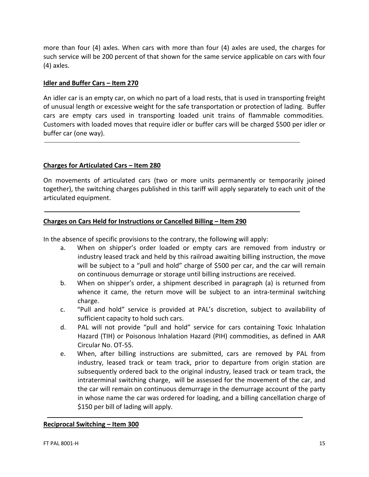more than four (4) axles. When cars with more than four (4) axles are used, the charges for such service will be 200 percent of that shown for the same service applicable on cars with four (4) axles.

#### **Idler and Buffer Cars – Item 270**

An idler car is an empty car, on which no part of a load rests, that is used in transporting freight of unusual length or excessive weight for the safe transportation or protection of lading. Buffer cars are empty cars used in transporting loaded unit trains of flammable commodities. Customers with loaded moves that require idler or buffer cars will be charged \$500 per idler or buffer car (one way).

#### **Charges for Articulated Cars – Item 280**

On movements of articulated cars (two or more units permanently or temporarily joined together), the switching charges published in this tariff will apply separately to each unit of the articulated equipment.

# **Charges on Cars Held for Instructions or Cancelled Billing – Item 290**

In the absence of specific provisions to the contrary, the following will apply:

- a. When on shipper's order loaded or empty cars are removed from industry or industry leased track and held by this railroad awaiting billing instruction, the move will be subject to a "pull and hold" charge of \$500 per car, and the car will remain on continuous demurrage or storage until billing instructions are received.
- b. When on shipper's order, a shipment described in paragraph (a) is returned from whence it came, the return move will be subject to an intra-terminal switching charge.
- c. "Pull and hold" service is provided at PAL's discretion, subject to availability of sufficient capacity to hold such cars.
- d. PAL will not provide "pull and hold" service for cars containing Toxic Inhalation Hazard (TIH) or Poisonous Inhalation Hazard (PIH) commodities, as defined in AAR Circular No. OT-55.
- e. When, after billing instructions are submitted, cars are removed by PAL from industry, leased track or team track, prior to departure from origin station are subsequently ordered back to the original industry, leased track or team track, the intraterminal switching charge, will be assessed for the movement of the car, and the car will remain on continuous demurrage in the demurrage account of the party in whose name the car was ordered for loading, and a billing cancellation charge of \$150 per bill of lading will apply.

#### **Reciprocal Switching – Item 300**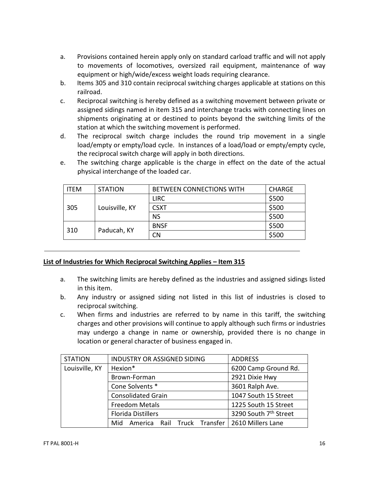- a. Provisions contained herein apply only on standard carload traffic and will not apply to movements of locomotives, oversized rail equipment, maintenance of way equipment or high/wide/excess weight loads requiring clearance.
- b. Items 305 and 310 contain reciprocal switching charges applicable at stations on this railroad.
- c. Reciprocal switching is hereby defined as a switching movement between private or assigned sidings named in item 315 and interchange tracks with connecting lines on shipments originating at or destined to points beyond the switching limits of the station at which the switching movement is performed.
- d. The reciprocal switch charge includes the round trip movement in a single load/empty or empty/load cycle. In instances of a load/load or empty/empty cycle, the reciprocal switch charge will apply in both directions.
- e. The switching charge applicable is the charge in effect on the date of the actual physical interchange of the loaded car.

| ITEM | <b>STATION</b> | <b>BETWEEN CONNECTIONS WITH</b><br><b>CHARGE</b> |       |
|------|----------------|--------------------------------------------------|-------|
|      |                | <b>LIRC</b>                                      | \$500 |
| 305  | Louisville, KY | <b>CSXT</b>                                      | \$500 |
|      |                | <b>NS</b>                                        | \$500 |
| 310  | Paducah, KY    | <b>BNSF</b>                                      | \$500 |
|      |                | <b>CN</b>                                        | \$500 |

# **List of Industries for Which Reciprocal Switching Applies – Item 315**

- a. The switching limits are hereby defined as the industries and assigned sidings listed in this item.
- b. Any industry or assigned siding not listed in this list of industries is closed to reciprocal switching.
- c. When firms and industries are referred to by name in this tariff, the switching charges and other provisions will continue to apply although such firms or industries may undergo a change in name or ownership, provided there is no change in location or general character of business engaged in.

| <b>STATION</b> | INDUSTRY OR ASSIGNED SIDING                          | <b>ADDRESS</b>                    |
|----------------|------------------------------------------------------|-----------------------------------|
| Louisville, KY | Hexion*                                              | 6200 Camp Ground Rd.              |
|                | Brown-Forman                                         | 2921 Dixie Hwy                    |
|                | Cone Solvents *                                      | 3601 Ralph Ave.                   |
|                | <b>Consolidated Grain</b>                            | 1047 South 15 Street              |
|                | <b>Freedom Metals</b>                                | 1225 South 15 Street              |
|                | <b>Florida Distillers</b>                            | 3290 South 7 <sup>th</sup> Street |
|                | America Rail Truck Transfer 2610 Millers Lane<br>Mid |                                   |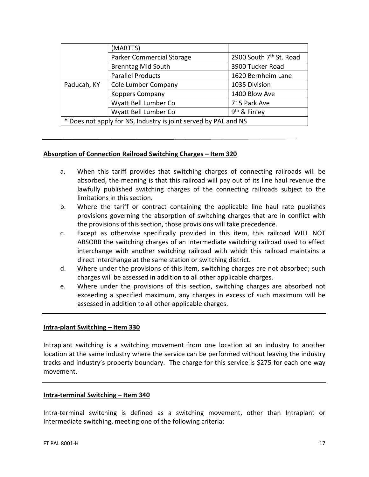|                                                                 | (MARTTS)                         |                                     |
|-----------------------------------------------------------------|----------------------------------|-------------------------------------|
|                                                                 | <b>Parker Commercial Storage</b> | 2900 South 7 <sup>th</sup> St. Road |
|                                                                 | <b>Brenntag Mid South</b>        | 3900 Tucker Road                    |
|                                                                 | <b>Parallel Products</b>         | 1620 Bernheim Lane                  |
| Paducah, KY                                                     | Cole Lumber Company              | 1035 Division                       |
|                                                                 | <b>Koppers Company</b>           | 1400 Blow Ave                       |
|                                                                 | Wyatt Bell Lumber Co             | 715 Park Ave                        |
|                                                                 | Wyatt Bell Lumber Co             | 9 <sup>th</sup> & Finley            |
| * Does not apply for NS, Industry is joint served by PAL and NS |                                  |                                     |

#### **Absorption of Connection Railroad Switching Charges – Item 320**

- a. When this tariff provides that switching charges of connecting railroads will be absorbed, the meaning is that this railroad will pay out of its line haul revenue the lawfully published switching charges of the connecting railroads subject to the limitations in this section.
- b. Where the tariff or contract containing the applicable line haul rate publishes provisions governing the absorption of switching charges that are in conflict with the provisions of this section, those provisions will take precedence.
- c. Except as otherwise specifically provided in this item, this railroad WILL NOT ABSORB the switching charges of an intermediate switching railroad used to effect interchange with another switching railroad with which this railroad maintains a direct interchange at the same station or switching district.
- d. Where under the provisions of this item, switching charges are not absorbed; such charges will be assessed in addition to all other applicable charges.
- e. Where under the provisions of this section, switching charges are absorbed not exceeding a specified maximum, any charges in excess of such maximum will be assessed in addition to all other applicable charges.

# **Intra-plant Switching – Item 330**

Intraplant switching is a switching movement from one location at an industry to another location at the same industry where the service can be performed without leaving the industry tracks and industry's property boundary. The charge for this service is \$275 for each one way movement.

#### **Intra-terminal Switching – Item 340**

Intra-terminal switching is defined as a switching movement, other than Intraplant or Intermediate switching, meeting one of the following criteria: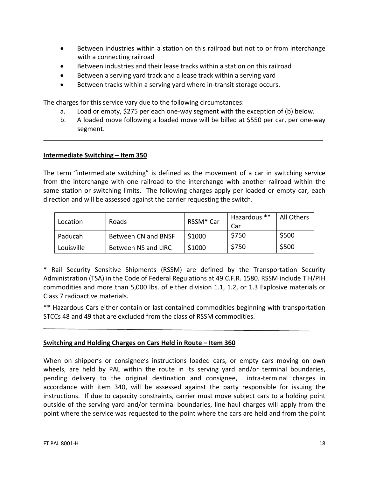- Between industries within a station on this railroad but not to or from interchange with a connecting railroad
- Between industries and their lease tracks within a station on this railroad
- Between a serving yard track and a lease track within a serving yard
- Between tracks within a serving yard where in-transit storage occurs.

The charges for this service vary due to the following circumstances:

- a. Load or empty, \$275 per each one-way segment with the exception of (b) below.
- b. A loaded move following a loaded move will be billed at \$550 per car, per one-way segment.

# **Intermediate Switching – Item 350**

The term "intermediate switching" is defined as the movement of a car in switching service from the interchange with one railroad to the interchange with another railroad within the same station or switching limits. The following charges apply per loaded or empty car, each direction and will be assessed against the carrier requesting the switch.

| Location   | Roads               | RSSM <sup>*</sup> Car | Hazardous **<br>Car | All Others |
|------------|---------------------|-----------------------|---------------------|------------|
| Paducah    | Between CN and BNSF | \$1000                | \$750               | \$500      |
| Louisville | Between NS and LIRC | \$1000                | \$750               | \$500      |

\* Rail Security Sensitive Shipments (RSSM) are defined by the Transportation Security Administration (TSA) in the Code of Federal Regulations at 49 C.F.R. 1580. RSSM include TIH/PIH commodities and more than 5,000 lbs. of either division 1.1, 1.2, or 1.3 Explosive materials or Class 7 radioactive materials.

\*\* Hazardous Cars either contain or last contained commodities beginning with transportation STCCs 48 and 49 that are excluded from the class of RSSM commodities.

# **Switching and Holding Charges on Cars Held in Route – Item 360**

When on shipper's or consignee's instructions loaded cars, or empty cars moving on own wheels, are held by PAL within the route in its serving yard and/or terminal boundaries, pending delivery to the original destination and consignee, intra-terminal charges in accordance with item 340, will be assessed against the party responsible for issuing the instructions. If due to capacity constraints, carrier must move subject cars to a holding point outside of the serving yard and/or terminal boundaries, line haul charges will apply from the point where the service was requested to the point where the cars are held and from the point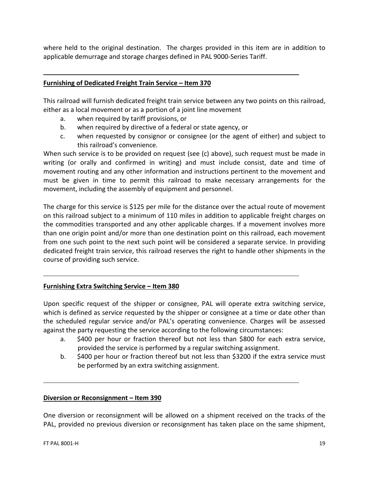where held to the original destination. The charges provided in this item are in addition to applicable demurrage and storage charges defined in PAL 9000-Series Tariff.

# **Furnishing of Dedicated Freight Train Service – Item 370**

This railroad will furnish dedicated freight train service between any two points on this railroad, either as a local movement or as a portion of a joint line movement

- a. when required by tariff provisions, or
- b. when required by directive of a federal or state agency, or
- c. when requested by consignor or consignee (or the agent of either) and subject to this railroad's convenience.

When such service is to be provided on request (see (c) above), such request must be made in writing (or orally and confirmed in writing) and must include consist, date and time of movement routing and any other information and instructions pertinent to the movement and must be given in time to permit this railroad to make necessary arrangements for the movement, including the assembly of equipment and personnel.

The charge for this service is \$125 per mile for the distance over the actual route of movement on this railroad subject to a minimum of 110 miles in addition to applicable freight charges on the commodities transported and any other applicable charges. If a movement involves more than one origin point and/or more than one destination point on this railroad, each movement from one such point to the next such point will be considered a separate service. In providing dedicated freight train service, this railroad reserves the right to handle other shipments in the course of providing such service.

# **Furnishing Extra Switching Service – Item 380**

Upon specific request of the shipper or consignee, PAL will operate extra switching service, which is defined as service requested by the shipper or consignee at a time or date other than the scheduled regular service and/or PAL's operating convenience. Charges will be assessed against the party requesting the service according to the following circumstances:

- a. \$400 per hour or fraction thereof but not less than \$800 for each extra service, provided the service is performed by a regular switching assignment.
- b. \$400 per hour or fraction thereof but not less than \$3200 if the extra service must be performed by an extra switching assignment.

#### **Diversion or Reconsignment – Item 390**

One diversion or reconsignment will be allowed on a shipment received on the tracks of the PAL, provided no previous diversion or reconsignment has taken place on the same shipment,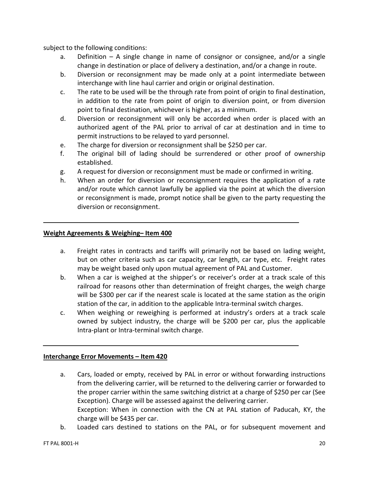subject to the following conditions:

- a. Definition A single change in name of consignor or consignee, and/or a single change in destination or place of delivery a destination, and/or a change in route.
- b. Diversion or reconsignment may be made only at a point intermediate between interchange with line haul carrier and origin or original destination.
- c. The rate to be used will be the through rate from point of origin to final destination, in addition to the rate from point of origin to diversion point, or from diversion point to final destination, whichever is higher, as a minimum.
- d. Diversion or reconsignment will only be accorded when order is placed with an authorized agent of the PAL prior to arrival of car at destination and in time to permit instructions to be relayed to yard personnel.
- e. The charge for diversion or reconsignment shall be \$250 per car.
- f. The original bill of lading should be surrendered or other proof of ownership established.
- g. A request for diversion or reconsignment must be made or confirmed in writing.
- h. When an order for diversion or reconsignment requires the application of a rate and/or route which cannot lawfully be applied via the point at which the diversion or reconsignment is made, prompt notice shall be given to the party requesting the diversion or reconsignment.

#### **Weight Agreements & Weighing– Item 400**

- a. Freight rates in contracts and tariffs will primarily not be based on lading weight, but on other criteria such as car capacity, car length, car type, etc. Freight rates may be weight based only upon mutual agreement of PAL and Customer.
- b. When a car is weighed at the shipper's or receiver's order at a track scale of this railroad for reasons other than determination of freight charges, the weigh charge will be \$300 per car if the nearest scale is located at the same station as the origin station of the car, in addition to the applicable Intra-terminal switch charges.
- c. When weighing or reweighing is performed at industry's orders at a track scale owned by subject industry, the charge will be \$200 per car, plus the applicable Intra-plant or Intra-terminal switch charge.

#### **Interchange Error Movements – Item 420**

- a. Cars, loaded or empty, received by PAL in error or without forwarding instructions from the delivering carrier, will be returned to the delivering carrier or forwarded to the proper carrier within the same switching district at a charge of \$250 per car (See Exception). Charge will be assessed against the delivering carrier. Exception: When in connection with the CN at PAL station of Paducah, KY, the charge will be \$435 per car.
- b. Loaded cars destined to stations on the PAL, or for subsequent movement and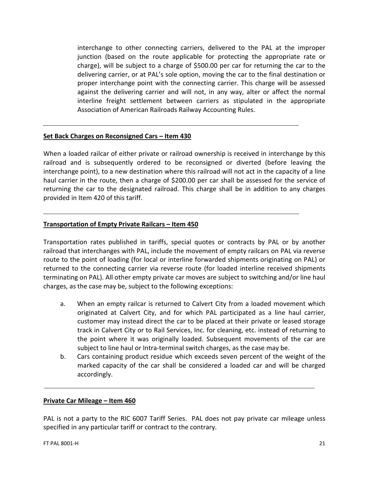interchange to other connecting carriers, delivered to the PAL at the improper junction (based on the route applicable for protecting the appropriate rate or charge), will be subject to a charge of \$500.00 per car for returning the car to the delivering carrier, or at PAL's sole option, moving the car to the final destination or proper interchange point with the connecting carrier. This charge will be assessed against the delivering carrier and will not, in any way, alter or affect the normal interline freight settlement between carriers as stipulated in the appropriate Association of American Railroads Railway Accounting Rules.

# **Set Back Charges on Reconsigned Cars – Item 430**

When a loaded railcar of either private or railroad ownership is received in interchange by this railroad and is subsequently ordered to be reconsigned or diverted (before leaving the interchange point), to a new destination where this railroad will not act in the capacity of a line haul carrier in the route, then a charge of \$200.00 per car shall be assessed for the service of returning the car to the designated railroad. This charge shall be in addition to any charges provided in Item 420 of this tariff.

#### **Transportation of Empty Private Railcars – Item 450**

Transportation rates published in tariffs, special quotes or contracts by PAL or by another railroad that interchanges with PAL, include the movement of empty railcars on PAL via reverse route to the point of loading (for local or interline forwarded shipments originating on PAL) or returned to the connecting carrier via reverse route (for loaded interline received shipments terminating on PAL). All other empty private car moves are subject to switching and/or line haul charges, as the case may be, subject to the following exceptions:

- a. When an empty railcar is returned to Calvert City from a loaded movement which originated at Calvert City, and for which PAL participated as a line haul carrier, customer may instead direct the car to be placed at their private or leased storage track in Calvert City or to Rail Services, Inc. for cleaning, etc. instead of returning to the point where it was originally loaded. Subsequent movements of the car are subject to line haul or Intra-terminal switch charges, as the case may be.
- b. Cars containing product residue which exceeds seven percent of the weight of the marked capacity of the car shall be considered a loaded car and will be charged accordingly.

#### **Private Car Mileage – Item 460**

PAL is not a party to the RIC 6007 Tariff Series. PAL does not pay private car mileage unless specified in any particular tariff or contract to the contrary.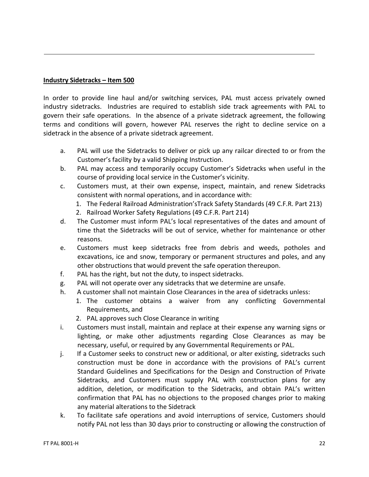# **Industry Sidetracks – Item 500**

In order to provide line haul and/or switching services, PAL must access privately owned industry sidetracks. Industries are required to establish side track agreements with PAL to govern their safe operations. In the absence of a private sidetrack agreement, the following terms and conditions will govern, however PAL reserves the right to decline service on a sidetrack in the absence of a private sidetrack agreement.

- a. PAL will use the Sidetracks to deliver or pick up any railcar directed to or from the Customer's facility by a valid Shipping Instruction.
- b. PAL may access and temporarily occupy Customer's Sidetracks when useful in the course of providing local service in the Customer's vicinity.
- c. Customers must, at their own expense, inspect, maintain, and renew Sidetracks consistent with normal operations, and in accordance with:
	- 1. The Federal Railroad Administration'sTrack Safety Standards (49 C.F.R. Part 213)
	- 2. Railroad Worker Safety Regulations (49 C.F.R. Part 214)
- d. The Customer must inform PAL's local representatives of the dates and amount of time that the Sidetracks will be out of service, whether for maintenance or other reasons.
- e. Customers must keep sidetracks free from debris and weeds, potholes and excavations, ice and snow, temporary or permanent structures and poles, and any other obstructions that would prevent the safe operation thereupon.
- f. PAL has the right, but not the duty, to inspect sidetracks.
- g. PAL will not operate over any sidetracks that we determine are unsafe.
- h. A customer shall not maintain Close Clearances in the area of sidetracks unless:
	- 1. The customer obtains a waiver from any conflicting Governmental Requirements, and
	- 2. PAL approves such Close Clearance in writing
- i. Customers must install, maintain and replace at their expense any warning signs or lighting, or make other adjustments regarding Close Clearances as may be necessary, useful, or required by any Governmental Requirements or PAL.
- j. If a Customer seeks to construct new or additional, or alter existing, sidetracks such construction must be done in accordance with the provisions of PAL's current Standard Guidelines and Specifications for the Design and Construction of Private Sidetracks, and Customers must supply PAL with construction plans for any addition, deletion, or modification to the Sidetracks, and obtain PAL's written confirmation that PAL has no objections to the proposed changes prior to making any material alterations to the Sidetrack
- k. To facilitate safe operations and avoid interruptions of service, Customers should notify PAL not less than 30 days prior to constructing or allowing the construction of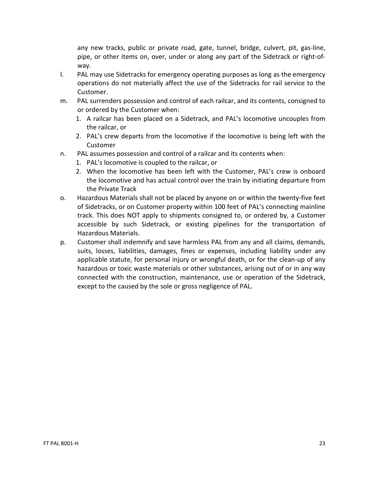any new tracks, public or private road, gate, tunnel, bridge, culvert, pit, gas-line, pipe, or other items on, over, under or along any part of the Sidetrack or right-ofway.

- l. PAL may use Sidetracks for emergency operating purposes as long as the emergency operations do not materially affect the use of the Sidetracks for rail service to the Customer.
- m. PAL surrenders possession and control of each railcar, and its contents, consigned to or ordered by the Customer when:
	- 1. A railcar has been placed on a Sidetrack, and PAL's locomotive uncouples from the railcar, or
	- 2. PAL's crew departs from the locomotive if the locomotive is being left with the Customer
- n. PAL assumes possession and control of a railcar and its contents when:
	- 1. PAL's locomotive is coupled to the railcar, or
	- 2. When the locomotive has been left with the Customer, PAL's crew is onboard the locomotive and has actual control over the train by initiating departure from the Private Track
- o. Hazardous Materials shall not be placed by anyone on or within the twenty-five feet of Sidetracks, or on Customer property within 100 feet of PAL's connecting mainline track. This does NOT apply to shipments consigned to, or ordered by, a Customer accessible by such Sidetrack, or existing pipelines for the transportation of Hazardous Materials.
- p. Customer shall indemnify and save harmless PAL from any and all claims, demands, suits, losses, liabilities, damages, fines or expenses, including liability under any applicable statute, for personal injury or wrongful death, or for the clean-up of any hazardous or toxic waste materials or other substances, arising out of or in any way connected with the construction, maintenance, use or operation of the Sidetrack, except to the caused by the sole or gross negligence of PAL.